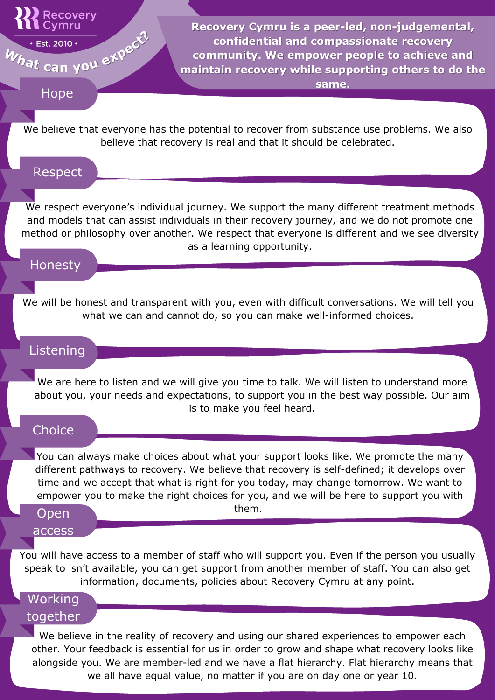## **Recovery** Cymru

What can you expect?

You can always make choices about what your support looks like. We promote the many different pathways to recovery. We believe that recovery is self-defined; it develops over time and we accept that what is right for you today, may change tomorrow. We want to empower you to make the right choices for you, and we will be here to support you with them.

We respect everyone's individual journey. We support the many different treatment methods and models that can assist individuals in their recovery journey, and we do not promote one method or philosophy over another. We respect that everyone is different and we see diversity as a learning opportunity.

We believe that everyone has the potential to recover from substance use problems. We also believe that recovery is real and that it should be celebrated.

We are here to listen and we will give you time to talk. We will listen to understand more about you, your needs and expectations, to support you in the best way possible. Our aim is to make you feel heard.

## **Choice**

We will be honest and transparent with you, even with difficult conversations. We will tell you what we can and cannot do, so you can make well-informed choices.

You will have access to a member of staff who will support you. Even if the person you usually speak to isn't available, you can get support from another member of staff. You can also get information, documents, policies about Recovery Cymru at any point.

Hope

### Respect

# Honesty

# Listening

### Open

#### access

We believe in the reality of recovery and using our shared experiences to empower each other. Your feedback is essential for us in order to grow and shape what recovery looks like alongside you. We are member-led and we have a flat hierarchy. Flat hierarchy means that we all have equal value, no matter if you are on day one or year 10.

# Working together

**Recovery Cymru is a peer-led, non-judgemental, confidential and compassionate recovery community. We empower people to achieve and maintain recovery while supporting others to do the same.**